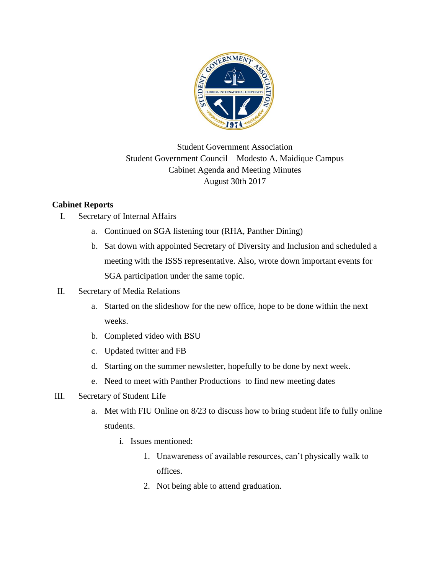

## Student Government Association Student Government Council – Modesto A. Maidique Campus Cabinet Agenda and Meeting Minutes August 30th 2017

## **Cabinet Reports**

- I. Secretary of Internal Affairs
	- a. Continued on SGA listening tour (RHA, Panther Dining)
	- b. Sat down with appointed Secretary of Diversity and Inclusion and scheduled a meeting with the ISSS representative. Also, wrote down important events for SGA participation under the same topic.
- II. Secretary of Media Relations
	- a. Started on the slideshow for the new office, hope to be done within the next weeks.
	- b. Completed video with BSU
	- c. Updated twitter and FB
	- d. Starting on the summer newsletter, hopefully to be done by next week.
	- e. Need to meet with Panther Productions to find new meeting dates
- III. Secretary of Student Life
	- a. Met with FIU Online on 8/23 to discuss how to bring student life to fully online students.
		- i. Issues mentioned:
			- 1. Unawareness of available resources, can't physically walk to offices.
			- 2. Not being able to attend graduation.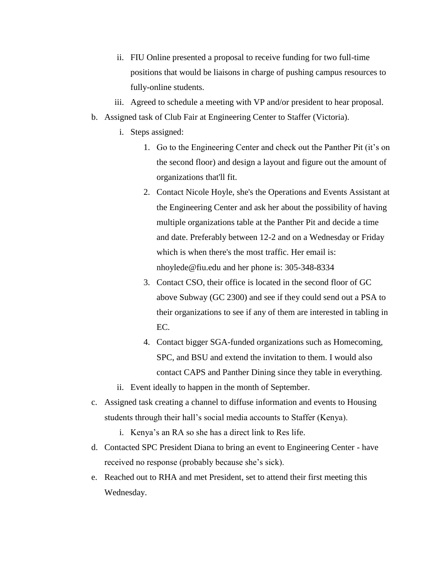- ii. FIU Online presented a proposal to receive funding for two full-time positions that would be liaisons in charge of pushing campus resources to fully-online students.
- iii. Agreed to schedule a meeting with VP and/or president to hear proposal.
- b. Assigned task of Club Fair at Engineering Center to Staffer (Victoria).
	- i. Steps assigned:
		- 1. Go to the Engineering Center and check out the Panther Pit (it's on the second floor) and design a layout and figure out the amount of organizations that'll fit.
		- 2. Contact Nicole Hoyle, she's the Operations and Events Assistant at the Engineering Center and ask her about the possibility of having multiple organizations table at the Panther Pit and decide a time and date. Preferably between 12-2 and on a Wednesday or Friday which is when there's the most traffic. Her email is: nhoylede@fiu.edu and her phone is: 305-348-8334
		- 3. Contact CSO, their office is located in the second floor of GC above Subway (GC 2300) and see if they could send out a PSA to their organizations to see if any of them are interested in tabling in EC.
		- 4. Contact bigger SGA-funded organizations such as Homecoming, SPC, and BSU and extend the invitation to them. I would also contact CAPS and Panther Dining since they table in everything.
	- ii. Event ideally to happen in the month of September.
- c. Assigned task creating a channel to diffuse information and events to Housing students through their hall's social media accounts to Staffer (Kenya).
	- i. Kenya's an RA so she has a direct link to Res life.
- d. Contacted SPC President Diana to bring an event to Engineering Center have received no response (probably because she's sick).
- e. Reached out to RHA and met President, set to attend their first meeting this Wednesday.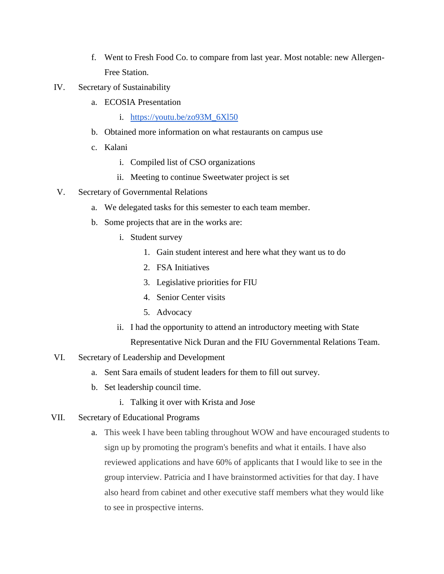- f. Went to Fresh Food Co. to compare from last year. Most notable: new Allergen-Free Station.
- IV. Secretary of Sustainability
	- a. ECOSIA Presentation
		- i. https://youtu.be/zo93M $6X150$
	- b. Obtained more information on what restaurants on campus use
	- c. Kalani
		- i. Compiled list of CSO organizations
		- ii. Meeting to continue Sweetwater project is set
- V. Secretary of Governmental Relations
	- a. We delegated tasks for this semester to each team member.
	- b. Some projects that are in the works are:
		- i. Student survey
			- 1. Gain student interest and here what they want us to do
			- 2. FSA Initiatives
			- 3. Legislative priorities for FIU
			- 4. Senior Center visits
			- 5. Advocacy
		- ii. I had the opportunity to attend an introductory meeting with State

Representative Nick Duran and the FIU Governmental Relations Team.

- VI. Secretary of Leadership and Development
	- a. Sent Sara emails of student leaders for them to fill out survey.
	- b. Set leadership council time.
		- i. Talking it over with Krista and Jose
- VII. Secretary of Educational Programs
	- a. This week I have been tabling throughout WOW and have encouraged students to sign up by promoting the program's benefits and what it entails. I have also reviewed applications and have 60% of applicants that I would like to see in the group interview. Patricia and I have brainstormed activities for that day. I have also heard from cabinet and other executive staff members what they would like to see in prospective interns.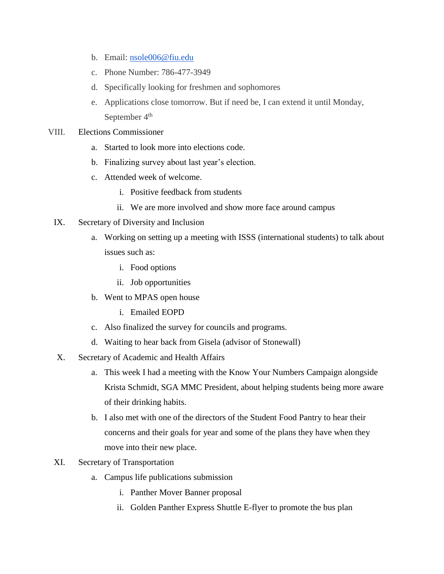- b. Email: [nsole006@fiu.edu](mailto:nsole006@fiu.edu)
- c. Phone Number: 786-477-3949
- d. Specifically looking for freshmen and sophomores
- e. Applications close tomorrow. But if need be, I can extend it until Monday, September  $4<sup>th</sup>$
- VIII. Elections Commissioner
	- a. Started to look more into elections code.
	- b. Finalizing survey about last year's election.
	- c. Attended week of welcome.
		- i. Positive feedback from students
		- ii. We are more involved and show more face around campus
	- IX. Secretary of Diversity and Inclusion
		- a. Working on setting up a meeting with ISSS (international students) to talk about issues such as:
			- i. Food options
			- ii. Job opportunities
		- b. Went to MPAS open house
			- i. Emailed EOPD
		- c. Also finalized the survey for councils and programs.
		- d. Waiting to hear back from Gisela (advisor of Stonewall)
	- X. Secretary of Academic and Health Affairs
		- a. This week I had a meeting with the Know Your Numbers Campaign alongside Krista Schmidt, SGA MMC President, about helping students being more aware of their drinking habits.
		- b. I also met with one of the directors of the Student Food Pantry to hear their concerns and their goals for year and some of the plans they have when they move into their new place.
	- XI. Secretary of Transportation
		- a. Campus life publications submission
			- i. Panther Mover Banner proposal
			- ii. Golden Panther Express Shuttle E-flyer to promote the bus plan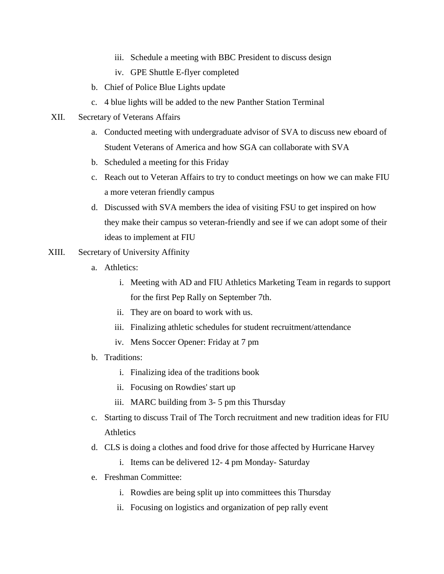- iii. Schedule a meeting with BBC President to discuss design
- iv. GPE Shuttle E-flyer completed
- b. Chief of Police Blue Lights update
- c. 4 blue lights will be added to the new Panther Station Terminal
- XII. Secretary of Veterans Affairs
	- a. Conducted meeting with undergraduate advisor of SVA to discuss new eboard of Student Veterans of America and how SGA can collaborate with SVA
	- b. Scheduled a meeting for this Friday
	- c. Reach out to Veteran Affairs to try to conduct meetings on how we can make FIU a more veteran friendly campus
	- d. Discussed with SVA members the idea of visiting FSU to get inspired on how they make their campus so veteran-friendly and see if we can adopt some of their ideas to implement at FIU
- XIII. Secretary of University Affinity
	- a. Athletics:
		- i. Meeting with AD and FIU Athletics Marketing Team in regards to support for the first Pep Rally on September 7th.
		- ii. They are on board to work with us.
		- iii. Finalizing athletic schedules for student recruitment/attendance
		- iv. Mens Soccer Opener: Friday at 7 pm
	- b. Traditions:
		- i. Finalizing idea of the traditions book
		- ii. Focusing on Rowdies' start up
		- iii. MARC building from 3- 5 pm this Thursday
	- c. Starting to discuss Trail of The Torch recruitment and new tradition ideas for FIU **Athletics**
	- d. CLS is doing a clothes and food drive for those affected by Hurricane Harvey
		- i. Items can be delivered 12- 4 pm Monday- Saturday
	- e. Freshman Committee:
		- i. Rowdies are being split up into committees this Thursday
		- ii. Focusing on logistics and organization of pep rally event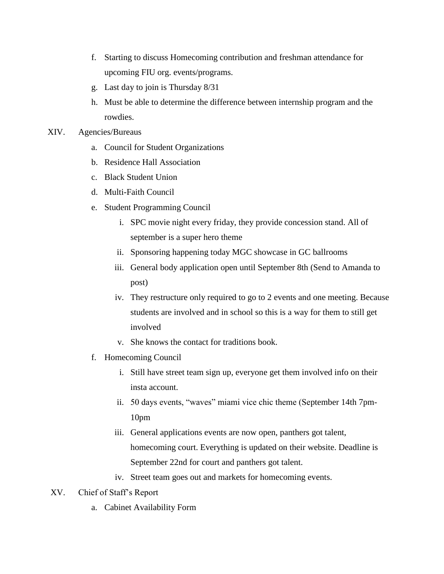- f. Starting to discuss Homecoming contribution and freshman attendance for upcoming FIU org. events/programs.
- g. Last day to join is Thursday 8/31
- h. Must be able to determine the difference between internship program and the rowdies.
- XIV. Agencies/Bureaus
	- a. Council for Student Organizations
	- b. Residence Hall Association
	- c. Black Student Union
	- d. Multi-Faith Council
	- e. Student Programming Council
		- i. SPC movie night every friday, they provide concession stand. All of september is a super hero theme
		- ii. Sponsoring happening today MGC showcase in GC ballrooms
		- iii. General body application open until September 8th (Send to Amanda to post)
		- iv. They restructure only required to go to 2 events and one meeting. Because students are involved and in school so this is a way for them to still get involved
		- v. She knows the contact for traditions book.
	- f. Homecoming Council
		- i. Still have street team sign up, everyone get them involved info on their insta account.
		- ii. 50 days events, "waves" miami vice chic theme (September 14th 7pm-10pm
		- iii. General applications events are now open, panthers got talent, homecoming court. Everything is updated on their website. Deadline is September 22nd for court and panthers got talent.
		- iv. Street team goes out and markets for homecoming events.
- XV. Chief of Staff's Report
	- a. Cabinet Availability Form